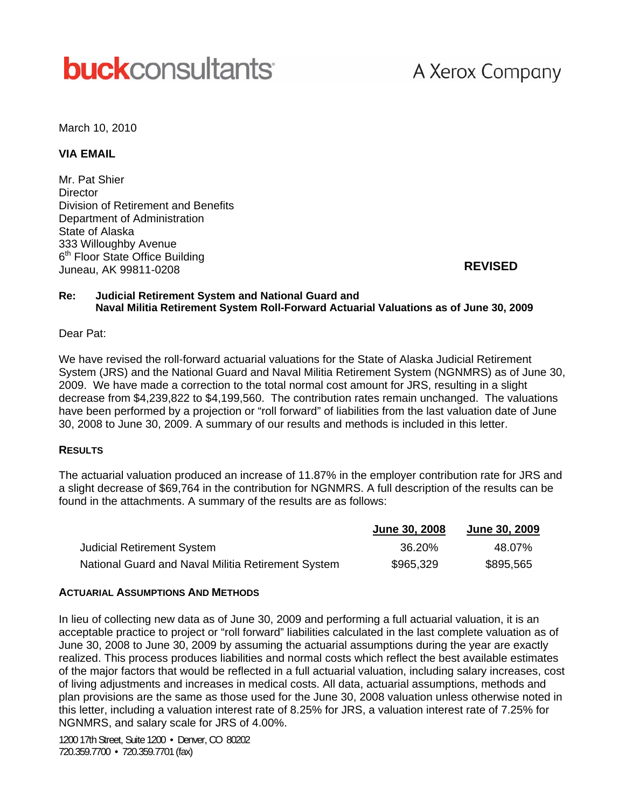# **buck**consultants

## A Xerox Company

March 10, 2010

#### **VIA EMAIL**

Mr. Pat Shier **Director** Division of Retirement and Benefits Department of Administration State of Alaska 333 Willoughby Avenue 6<sup>th</sup> Floor State Office Building Juneau, AK 99811-0208

**REVISED**

#### **Re: Judicial Retirement System and National Guard and Naval Militia Retirement System Roll-Forward Actuarial Valuations as of June 30, 2009**

#### Dear Pat:

We have revised the roll-forward actuarial valuations for the State of Alaska Judicial Retirement System (JRS) and the National Guard and Naval Militia Retirement System (NGNMRS) as of June 30, 2009. We have made a correction to the total normal cost amount for JRS, resulting in a slight decrease from \$4,239,822 to \$4,199,560. The contribution rates remain unchanged. The valuations have been performed by a projection or "roll forward" of liabilities from the last valuation date of June 30, 2008 to June 30, 2009. A summary of our results and methods is included in this letter.

#### **RESULTS**

The actuarial valuation produced an increase of 11.87% in the employer contribution rate for JRS and a slight decrease of \$69,764 in the contribution for NGNMRS. A full description of the results can be found in the attachments. A summary of the results are as follows:

|                                                    | June 30, 2008 | <b>June 30, 2009</b> |
|----------------------------------------------------|---------------|----------------------|
| <b>Judicial Retirement System</b>                  | 36.20%        | 48.07%               |
| National Guard and Naval Militia Retirement System | \$965,329     | \$895,565            |

#### **ACTUARIAL ASSUMPTIONS AND METHODS**

In lieu of collecting new data as of June 30, 2009 and performing a full actuarial valuation, it is an acceptable practice to project or "roll forward" liabilities calculated in the last complete valuation as of June 30, 2008 to June 30, 2009 by assuming the actuarial assumptions during the year are exactly realized. This process produces liabilities and normal costs which reflect the best available estimates of the major factors that would be reflected in a full actuarial valuation, including salary increases, cost of living adjustments and increases in medical costs. All data, actuarial assumptions, methods and plan provisions are the same as those used for the June 30, 2008 valuation unless otherwise noted in this letter, including a valuation interest rate of 8.25% for JRS, a valuation interest rate of 7.25% for NGNMRS, and salary scale for JRS of 4.00%.

1200 17th Street, Suite 1200 • Denver, CO 80202 720.359.7700 • 720.359.7701 (fax)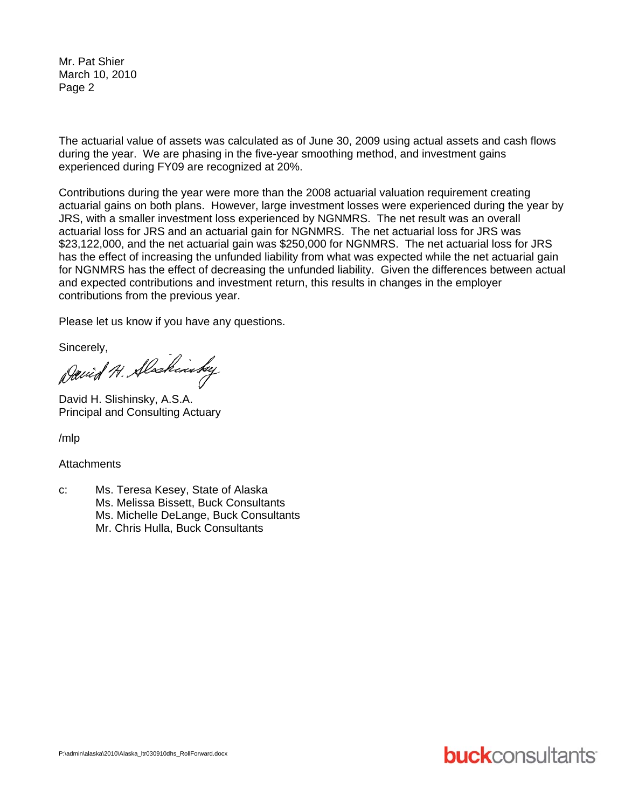Mr. Pat Shier March 10, 2010 Page 2

The actuarial value of assets was calculated as of June 30, 2009 using actual assets and cash flows during the year. We are phasing in the five-year smoothing method, and investment gains experienced during FY09 are recognized at 20%.

Contributions during the year were more than the 2008 actuarial valuation requirement creating actuarial gains on both plans. However, large investment losses were experienced during the year by JRS, with a smaller investment loss experienced by NGNMRS. The net result was an overall actuarial loss for JRS and an actuarial gain for NGNMRS. The net actuarial loss for JRS was \$23,122,000, and the net actuarial gain was \$250,000 for NGNMRS. The net actuarial loss for JRS has the effect of increasing the unfunded liability from what was expected while the net actuarial gain for NGNMRS has the effect of decreasing the unfunded liability. Given the differences between actual and expected contributions and investment return, this results in changes in the employer contributions from the previous year.

Please let us know if you have any questions.

Sincerely,<br>David H. Slochinsky

David H. Slishinsky, A.S.A. Principal and Consulting Actuary

/mlp

**Attachments** 

c: Ms. Teresa Kesey, State of Alaska Ms. Melissa Bissett, Buck Consultants Ms. Michelle DeLange, Buck Consultants Mr. Chris Hulla, Buck Consultants

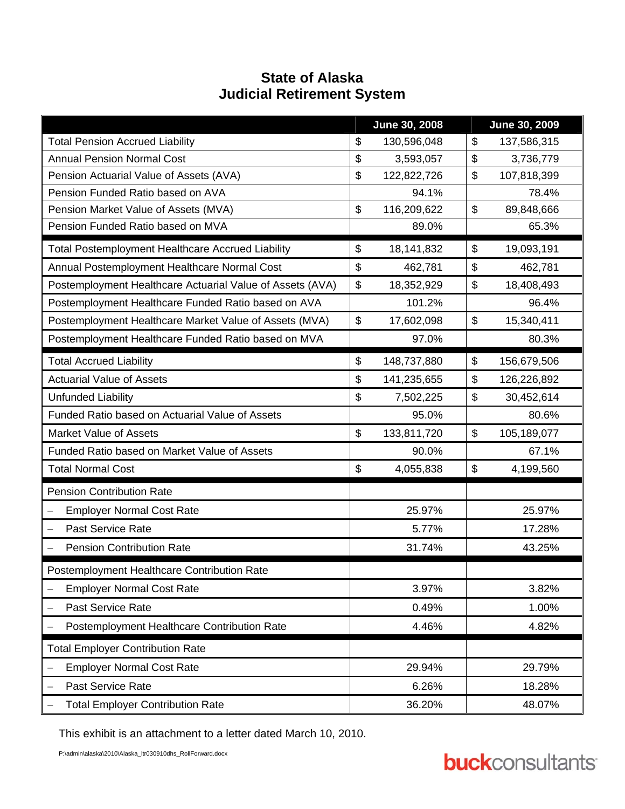### **State of Alaska Judicial Retirement System**

|                                                              |       | June 30, 2008    | June 30, 2009 |             |  |
|--------------------------------------------------------------|-------|------------------|---------------|-------------|--|
| <b>Total Pension Accrued Liability</b>                       | \$    | 130,596,048      | \$            | 137,586,315 |  |
| <b>Annual Pension Normal Cost</b>                            | \$    | 3,593,057        |               | 3,736,779   |  |
| Pension Actuarial Value of Assets (AVA)                      | \$    | 122,822,726      |               | 107,818,399 |  |
| Pension Funded Ratio based on AVA                            |       | 94.1%            |               | 78.4%       |  |
| Pension Market Value of Assets (MVA)                         | \$    | 116,209,622      |               | 89,848,666  |  |
| Pension Funded Ratio based on MVA                            |       | 89.0%            |               | 65.3%       |  |
| <b>Total Postemployment Healthcare Accrued Liability</b>     | \$    | 18,141,832       | \$            | 19,093,191  |  |
| Annual Postemployment Healthcare Normal Cost                 | \$    | 462,781          |               | 462,781     |  |
| Postemployment Healthcare Actuarial Value of Assets (AVA)    | \$    | 18,352,929       |               | 18,408,493  |  |
| Postemployment Healthcare Funded Ratio based on AVA          |       | 101.2%           |               | 96.4%       |  |
| Postemployment Healthcare Market Value of Assets (MVA)       | \$    | 17,602,098       |               | 15,340,411  |  |
| Postemployment Healthcare Funded Ratio based on MVA          | 97.0% |                  |               | 80.3%       |  |
| <b>Total Accrued Liability</b>                               | \$    | 148,737,880      | \$            | 156,679,506 |  |
| <b>Actuarial Value of Assets</b>                             | \$    | 141,235,655      | \$            | 126,226,892 |  |
| Unfunded Liability                                           | \$    | 7,502,225        | \$            | 30,452,614  |  |
| Funded Ratio based on Actuarial Value of Assets              |       | 95.0%            |               | 80.6%       |  |
| <b>Market Value of Assets</b>                                | \$    | 133,811,720      |               | 105,189,077 |  |
| Funded Ratio based on Market Value of Assets                 |       | 90.0%            |               | 67.1%       |  |
| <b>Total Normal Cost</b>                                     | \$    | 4,055,838        | \$            | 4,199,560   |  |
| <b>Pension Contribution Rate</b>                             |       |                  |               |             |  |
| <b>Employer Normal Cost Rate</b><br>$\overline{\phantom{0}}$ |       | 25.97%           |               | 25.97%      |  |
| Past Service Rate<br>$\overline{\phantom{0}}$                |       | 5.77%            |               | 17.28%      |  |
| <b>Pension Contribution Rate</b>                             |       | 31.74%           |               | 43.25%      |  |
| Postemployment Healthcare Contribution Rate                  |       |                  |               |             |  |
| <b>Employer Normal Cost Rate</b><br>$\qquad \qquad -$        |       | 3.97%            |               | 3.82%       |  |
| Past Service Rate<br>$\overline{\phantom{0}}$                |       | 0.49%            |               | 1.00%       |  |
| Postemployment Healthcare Contribution Rate                  |       | 4.46%            |               | 4.82%       |  |
| <b>Total Employer Contribution Rate</b>                      |       |                  |               |             |  |
| <b>Employer Normal Cost Rate</b>                             |       | 29.94%           |               | 29.79%      |  |
| Past Service Rate<br>—                                       |       | 6.26%            |               | 18.28%      |  |
| <b>Total Employer Contribution Rate</b>                      |       | 36.20%<br>48.07% |               |             |  |

This exhibit is an attachment to a letter dated March 10, 2010.

P:\admin\alaska\2010\Alaska\_ltr030910dhs\_RollForward.docx

# **buck**consultants